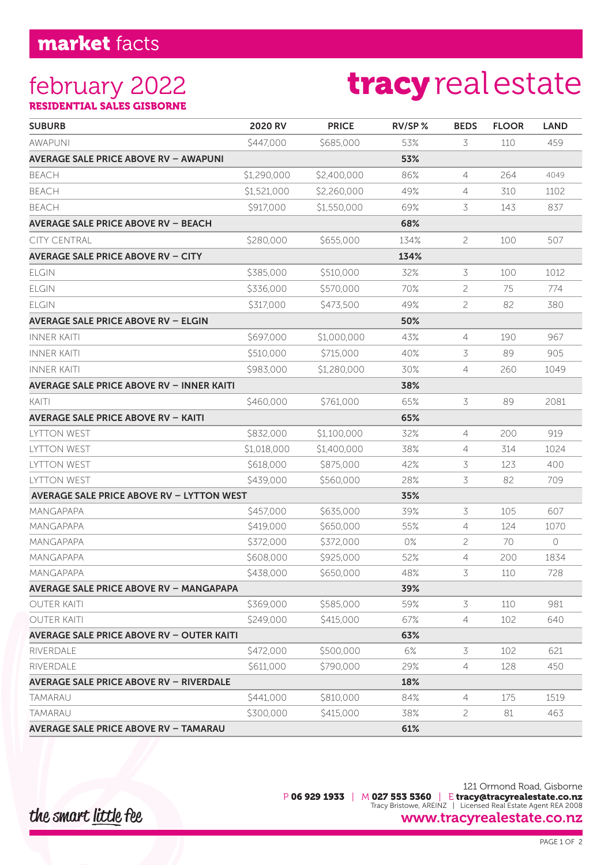## market facts

### february 2022 RESIDENTIAL SALES GISBORNE

# tracy real estate

| <b>SUBURB</b>                                    | 2020 RV     | <b>PRICE</b> | RV/SP% | <b>BEDS</b>    | <b>FLOOR</b> | <b>LAND</b> |
|--------------------------------------------------|-------------|--------------|--------|----------------|--------------|-------------|
| <b>AWAPUNI</b>                                   | \$447,000   | \$685,000    | 53%    | 3              | 110          | 459         |
| AVERAGE SALE PRICE ABOVE RV – AWAPUNI            |             |              | 53%    |                |              |             |
| <b>BEACH</b>                                     | \$1,290,000 | \$2,400,000  | 86%    | 4              | 264          | 4049        |
| <b>BEACH</b>                                     | \$1,521,000 | \$2,260,000  | 49%    | 4              | 310          | 1102        |
| BEACH                                            | \$917,000   | \$1,550,000  | 69%    | 3              | 143          | 837         |
| AVERAGE SALE PRICE ABOVE RV – BEACH              |             |              | 68%    |                |              |             |
| <b>CITY CENTRAL</b>                              | \$280,000   | \$655,000    | 134%   | 2              | 100          | 507         |
| <b>AVERAGE SALE PRICE ABOVE RV – CITY</b>        |             |              | 134%   |                |              |             |
| <b>ELGIN</b>                                     | \$385,000   | \$510,000    | 32%    | 3              | 100          | 1012        |
| ELGIN                                            | \$336,000   | \$570,000    | 70%    | 2              | 75           | 774         |
| <b>ELGIN</b>                                     | \$317,000   | \$473,500    | 49%    | 2              | 82           | 380         |
| <b>AVERAGE SALE PRICE ABOVE RV - ELGIN</b>       |             |              | 50%    |                |              |             |
| <b>INNER KAITI</b>                               | \$697,000   | \$1,000,000  | 43%    | 4              | 190          | 967         |
| <b>INNER KAITI</b>                               | \$510,000   | \$715,000    | 40%    | 3              | 89           | 905         |
| INNER KAITI                                      | \$983,000   | \$1,280,000  | 30%    | 4              | 260          | 1049        |
| <b>AVERAGE SALE PRICE ABOVE RV - INNER KAITI</b> |             |              | 38%    |                |              |             |
| kaiti                                            | \$460,000   | \$761,000    | 65%    | 3              | 89           | 2081        |
| AVERAGE SALE PRICE ABOVE RV – KAITI              |             |              | 65%    |                |              |             |
| <b>LYTTON WEST</b>                               | \$832,000   | \$1,100,000  | 32%    | 4              | 200          | 919         |
| <b>LYTTON WEST</b>                               | \$1,018,000 | \$1,400,000  | 38%    | 4              | 314          | 1024        |
| <b>LYTTON WEST</b>                               | \$618,000   | \$875,000    | 42%    | 3              | 123          | 400         |
| <b>LYTTON WEST</b>                               | \$439,000   | \$560,000    | 28%    | 3              | 82           | 709         |
| <b>AVERAGE SALE PRICE ABOVE RV - LYTTON WEST</b> |             |              | 35%    |                |              |             |
| MANGAPAPA                                        | \$457,000   | \$635,000    | 39%    | 3              | 105          | 607         |
| MANGAPAPA                                        | \$419,000   | \$650,000    | 55%    | 4              | 124          | 1070        |
| MANGAPAPA                                        | \$372,000   | \$372,000    | $0\%$  | 2              | 70           | 0           |
| MANGAPAPA                                        | \$608,000   | \$925,000    | 52%    | $\overline{4}$ | 200          | 1834        |
| MANGAPAPA                                        | \$438,000   | \$650,000    | 48%    | 3              | 110          | 728         |
| AVERAGE SALE PRICE ABOVE RV – MANGAPAPA          |             |              | 39%    |                |              |             |
| OUTER KAITI                                      | \$369,000   | \$585,000    | 59%    | 3              | 110          | 981         |
| OUTER KAITI                                      | \$249,000   | \$415,000    | 67%    | 4              | 102          | 640         |
| AVERAGE SALE PRICE ABOVE RV – OUTER KAITI        |             |              | 63%    |                |              |             |
| RIVERDALE                                        | \$472,000   | \$500,000    | 6%     | 3              | 102          | 621         |
| RIVERDAI F                                       | \$611,000   | \$790,000    | 29%    | 4              | 128          | 450         |
| AVERAGE SALE PRICE ABOVE RV – RIVERDALE          |             |              | 18%    |                |              |             |
| TAMARAU                                          | \$441,000   | \$810,000    | 84%    | 4              | 175          | 1519        |
| TAMARAU                                          | \$300,000   | \$415,000    | 38%    | 2              | 81           | 463         |
| AVERAGE SALE PRICE ABOVE RV - TAMARAU            |             |              | 61%    |                |              |             |

121 Ormond Road, Gisborne P 06 929 1933 | M 027 553 5360 | E tracy@tracyrealestate.co.nz Tracy Bristowe, AREINZ | Licensed Real Estate Agent REA 2008 www.tracyrealestate.co.nz